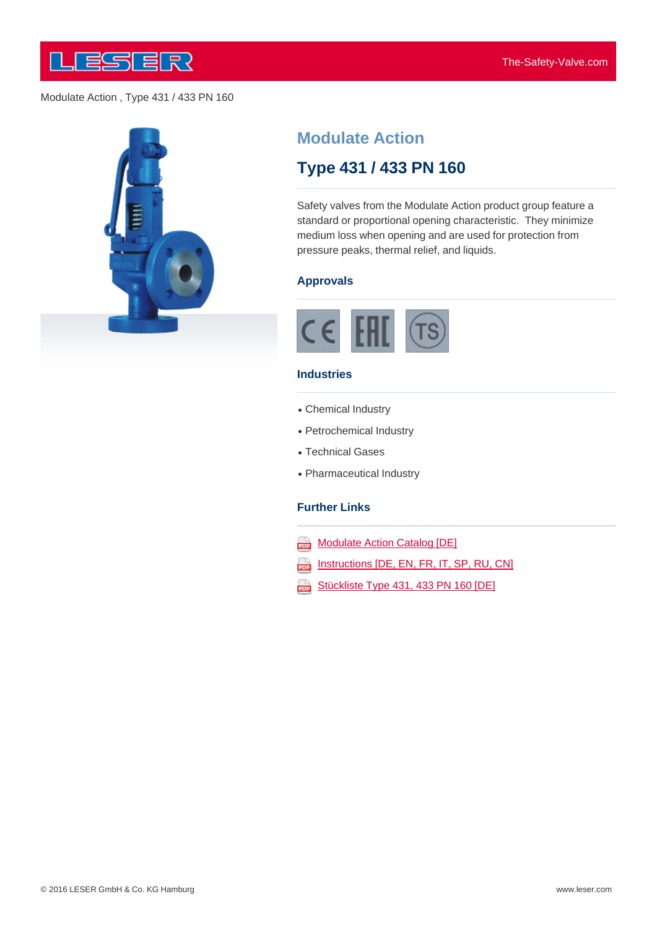

## Modulate Action , Type 431 / 433 PN 160



# **Modulate Action**

# **Type 431 / 433 PN 160**

Safety valves from the Modulate Action product group feature a standard or proportional opening characteristic. They minimize medium loss when opening and are used for protection from pressure peaks, thermal relief, and liquids.

#### **Approvals**



#### **Industries**

- Chemical Industry
- Petrochemical Industry
- Technical Gases
- Pharmaceutical Industry

#### **Further Links**

- **Modulate Action Catalog [DE]**
- Instructions [DE, EN, FR, IT, SP, RU, CN] 203
- [Stückliste](http://www.leser.com/fileadmin/content/Download/broschueren&kataloge/Kataloge/Modulate Action/Modulate_Action_Katalog_DE_10_2015.pdf) [Type](http://www.leser.com/fileadmin/content/Download/broschueren&kataloge/Kataloge/Modulate Action/Modulate_Action_Katalog_DE_10_2015.pdf) [4](http://www.leser.com/fileadmin/content/Download/broschueren&kataloge/Kataloge/Modulate Action/Modulate_Action_Katalog_DE_10_2015.pdf)31, [433](http://www.leser.com/fileadmin/content/Download/broschueren&kataloge/Kataloge/Modulate Action/Modulate_Action_Katalog_DE_10_2015.pdf) [PN](http://www.leser.com/fileadmin/content/Download/broschueren&kataloge/Kataloge/Modulate Action/Modulate_Action_Katalog_DE_10_2015.pdf) 160 [DE]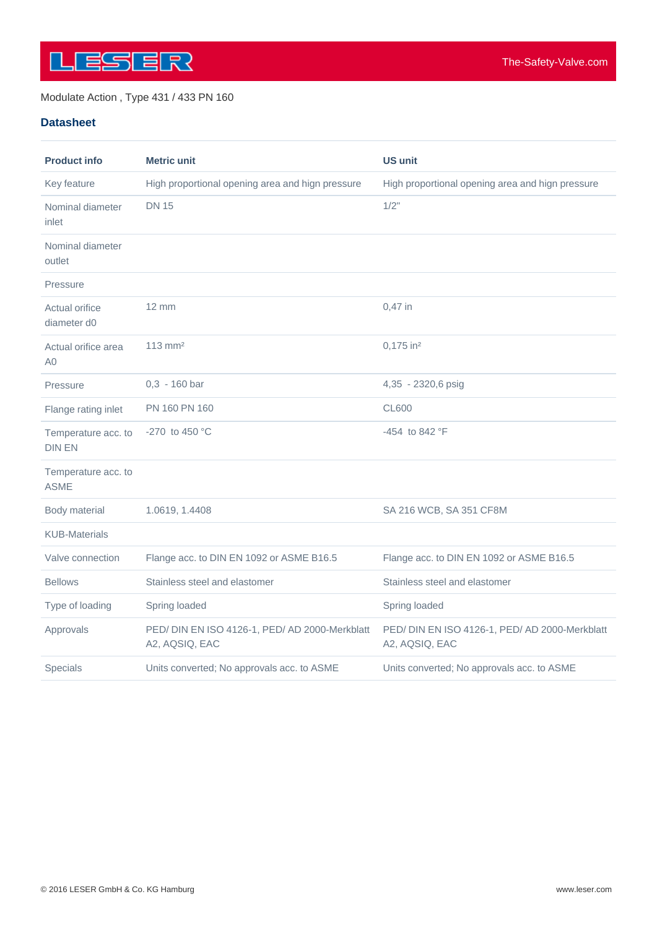

## Modulate Action , Type 431 / 433 PN 160

## **Datasheet**

| <b>Product info</b>                  | <b>Metric unit</b>                                               | <b>US unit</b>                                                   |
|--------------------------------------|------------------------------------------------------------------|------------------------------------------------------------------|
| Key feature                          | High proportional opening area and hign pressure                 | High proportional opening area and hign pressure                 |
| Nominal diameter<br>inlet            | <b>DN 15</b>                                                     | 1/2"                                                             |
| Nominal diameter<br>outlet           |                                                                  |                                                                  |
| Pressure                             |                                                                  |                                                                  |
| <b>Actual orifice</b><br>diameter d0 | $12 \text{ mm}$                                                  | 0,47 in                                                          |
| Actual orifice area<br>A0            | $113$ mm <sup>2</sup>                                            | 0,175 in <sup>2</sup>                                            |
| Pressure                             | $0,3 - 160$ bar                                                  | 4,35 - 2320,6 psig                                               |
| Flange rating inlet                  | PN 160 PN 160                                                    | <b>CL600</b>                                                     |
| Temperature acc. to<br><b>DIN EN</b> | -270 to 450 $^{\circ}$ C                                         | -454 to 842 °F                                                   |
| Temperature acc. to<br><b>ASME</b>   |                                                                  |                                                                  |
| Body material                        | 1.0619, 1.4408                                                   | SA 216 WCB, SA 351 CF8M                                          |
| <b>KUB-Materials</b>                 |                                                                  |                                                                  |
| Valve connection                     | Flange acc. to DIN EN 1092 or ASME B16.5                         | Flange acc. to DIN EN 1092 or ASME B16.5                         |
| <b>Bellows</b>                       | Stainless steel and elastomer                                    | Stainless steel and elastomer                                    |
| Type of loading                      | Spring loaded                                                    | Spring loaded                                                    |
| Approvals                            | PED/ DIN EN ISO 4126-1, PED/ AD 2000-Merkblatt<br>A2, AQSIQ, EAC | PED/ DIN EN ISO 4126-1, PED/ AD 2000-Merkblatt<br>A2, AQSIQ, EAC |
| Specials                             | Units converted; No approvals acc. to ASME                       | Units converted; No approvals acc. to ASME                       |